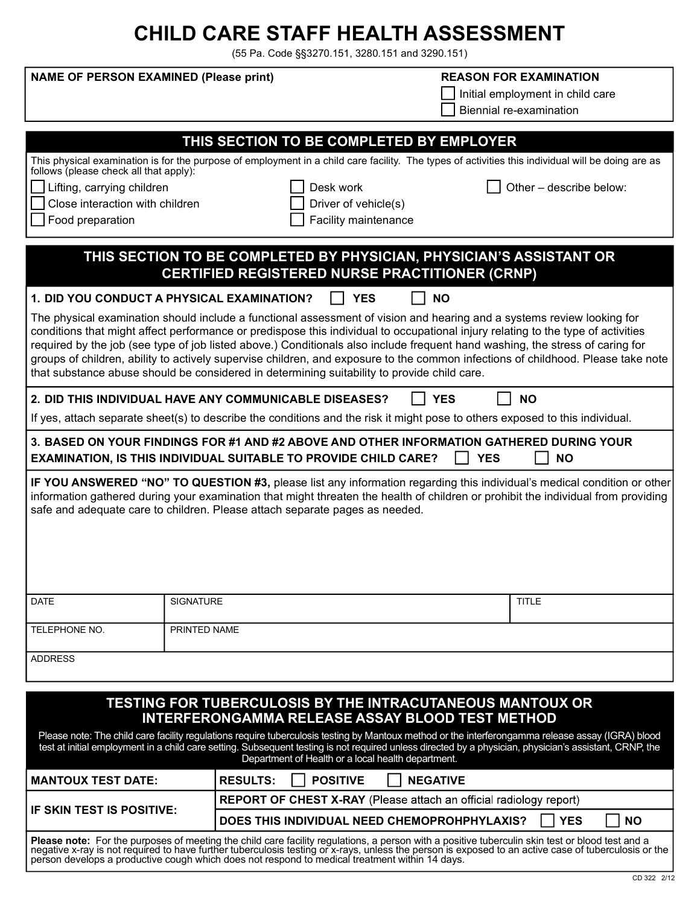# CHILD CARE STAFF HEALTH ASSESSMENT

(55 Pa. Code §§3270.151, 3280.151 and 3290.151)

| <b>NAME OF PERSON EXAMINED (Please print)</b>                                                                                                                                                                                                                                                                                                                                                                                                                                                                                                                                                                                  |                                                                                                                                                                    |                      | <b>REASON FOR EXAMINATION</b><br>Initial employment in child care<br>Biennial re-examination |           |  |  |
|--------------------------------------------------------------------------------------------------------------------------------------------------------------------------------------------------------------------------------------------------------------------------------------------------------------------------------------------------------------------------------------------------------------------------------------------------------------------------------------------------------------------------------------------------------------------------------------------------------------------------------|--------------------------------------------------------------------------------------------------------------------------------------------------------------------|----------------------|----------------------------------------------------------------------------------------------|-----------|--|--|
| THIS SECTION TO BE COMPLETED BY EMPLOYER                                                                                                                                                                                                                                                                                                                                                                                                                                                                                                                                                                                       |                                                                                                                                                                    |                      |                                                                                              |           |  |  |
|                                                                                                                                                                                                                                                                                                                                                                                                                                                                                                                                                                                                                                | This physical examination is for the purpose of employment in a child care facility. The types of activities this individual will be doing are as                  |                      |                                                                                              |           |  |  |
| follows (please check all that apply):<br>Other - describe below:                                                                                                                                                                                                                                                                                                                                                                                                                                                                                                                                                              |                                                                                                                                                                    |                      |                                                                                              |           |  |  |
| Lifting, carrying children<br>Desk work<br>Close interaction with children                                                                                                                                                                                                                                                                                                                                                                                                                                                                                                                                                     |                                                                                                                                                                    | Driver of vehicle(s) |                                                                                              |           |  |  |
| Facility maintenance<br>Food preparation                                                                                                                                                                                                                                                                                                                                                                                                                                                                                                                                                                                       |                                                                                                                                                                    |                      |                                                                                              |           |  |  |
|                                                                                                                                                                                                                                                                                                                                                                                                                                                                                                                                                                                                                                |                                                                                                                                                                    |                      |                                                                                              |           |  |  |
| THIS SECTION TO BE COMPLETED BY PHYSICIAN, PHYSICIAN'S ASSISTANT OR<br><b>CERTIFIED REGISTERED NURSE PRACTITIONER (CRNP)</b>                                                                                                                                                                                                                                                                                                                                                                                                                                                                                                   |                                                                                                                                                                    |                      |                                                                                              |           |  |  |
| 1. DID YOU CONDUCT A PHYSICAL EXAMINATION?<br><b>YES</b><br><b>NO</b>                                                                                                                                                                                                                                                                                                                                                                                                                                                                                                                                                          |                                                                                                                                                                    |                      |                                                                                              |           |  |  |
| The physical examination should include a functional assessment of vision and hearing and a systems review looking for<br>conditions that might affect performance or predispose this individual to occupational injury relating to the type of activities<br>required by the job (see type of job listed above.) Conditionals also include frequent hand washing, the stress of caring for<br>groups of children, ability to actively supervise children, and exposure to the common infections of childhood. Please take note<br>that substance abuse should be considered in determining suitability to provide child care. |                                                                                                                                                                    |                      |                                                                                              |           |  |  |
| 2. DID THIS INDIVIDUAL HAVE ANY COMMUNICABLE DISEASES?<br><b>YES</b><br><b>NO</b>                                                                                                                                                                                                                                                                                                                                                                                                                                                                                                                                              |                                                                                                                                                                    |                      |                                                                                              |           |  |  |
|                                                                                                                                                                                                                                                                                                                                                                                                                                                                                                                                                                                                                                | If yes, attach separate sheet(s) to describe the conditions and the risk it might pose to others exposed to this individual.                                       |                      |                                                                                              |           |  |  |
|                                                                                                                                                                                                                                                                                                                                                                                                                                                                                                                                                                                                                                | 3. BASED ON YOUR FINDINGS FOR #1 AND #2 ABOVE AND OTHER INFORMATION GATHERED DURING YOUR<br><b>EXAMINATION, IS THIS INDIVIDUAL SUITABLE TO PROVIDE CHILD CARE?</b> |                      | <b>YES</b>                                                                                   | <b>NO</b> |  |  |
| IF YOU ANSWERED "NO" TO QUESTION #3, please list any information regarding this individual's medical condition or other<br>information gathered during your examination that might threaten the health of children or prohibit the individual from providing<br>safe and adequate care to children. Please attach separate pages as needed.                                                                                                                                                                                                                                                                                    |                                                                                                                                                                    |                      |                                                                                              |           |  |  |
| <b>DATE</b>                                                                                                                                                                                                                                                                                                                                                                                                                                                                                                                                                                                                                    | <b>SIGNATURE</b>                                                                                                                                                   |                      | <b>TITLE</b>                                                                                 |           |  |  |
| TELEPHONE NO.                                                                                                                                                                                                                                                                                                                                                                                                                                                                                                                                                                                                                  | PRINTED NAME                                                                                                                                                       |                      |                                                                                              |           |  |  |
| <b>ADDRESS</b>                                                                                                                                                                                                                                                                                                                                                                                                                                                                                                                                                                                                                 |                                                                                                                                                                    |                      |                                                                                              |           |  |  |
| <b>TESTING FOR TUBERCULOSIS BY THE INTRACUTANEOUS MANTOUX OR</b><br><b>INTERFERONGAMMA RELEASE ASSAY BLOOD TEST METHOD</b>                                                                                                                                                                                                                                                                                                                                                                                                                                                                                                     |                                                                                                                                                                    |                      |                                                                                              |           |  |  |

Please note: The child care facility regulations require tuberculosis testing by Mantoux method or the interferongamma release assay (IGRA) blood test at initial employment in a child care setting. Subsequent testing is not required unless directed by a physician, physician's assistant, CRNP, the Department of Health or a local health department.

| MANTOUX TEST DATE:                                                                                                                                                                                                                | <b>RESULTS:</b><br><b>I</b> POSITIVE<br><b>NEGATIVE</b>                   |  |  |  |
|-----------------------------------------------------------------------------------------------------------------------------------------------------------------------------------------------------------------------------------|---------------------------------------------------------------------------|--|--|--|
|                                                                                                                                                                                                                                   | <b>REPORT OF CHEST X-RAY</b> (Please attach an official radiology report) |  |  |  |
| IF SKIN TEST IS POSITIVE:                                                                                                                                                                                                         | <b>DOES THIS INDIVIDUAL NEED CHEMOPROHPHYLAXIS?</b><br>I I YES<br>l NO    |  |  |  |
| Please note: For the purposes of meeting the child care facility regulations, a person with a positive tuberculin skin test or blood test and a<br>negative x-ray is not required to have further tuberculosis testing or x-rays, |                                                                           |  |  |  |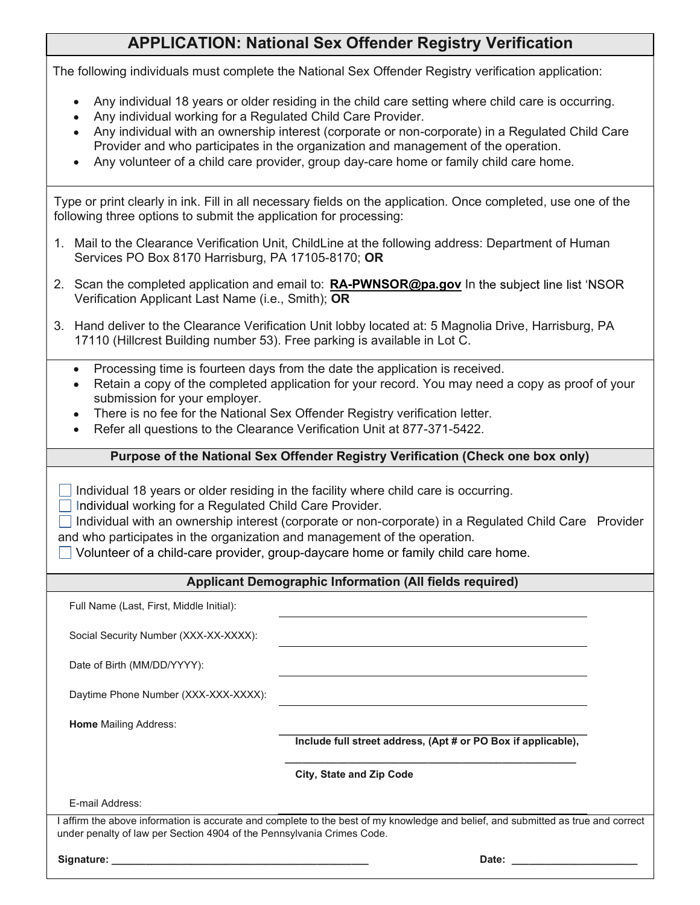## APPLICATION: National Sex Offender Registry Verification

The following individuals must complete the National Sex Offender Registry verification application:

- Any individual 18 years or older residing in the child care setting where child care is occurring.
- Any individual working for a Regulated Child Care Provider.  $\bullet$
- Any individual with an ownership interest (corporate or non-corporate) in a Regulated Child Care Provider and who participates in the organization and management of the operation.
- Any volunteer of a child care provider, group day-care home or family child care home.

Type or print clearly in ink. Fill in all necessary fields on the application. Once completed, use one of the following three options to submit the application for processing:

- 1. Mail to the Clearance Verification Unit, ChildLine at the following address: Department of Human Services PO Box 8170 Harrisburg, PA 17105-8170; OR
- 2. Scan the completed application and email to: **RA-PWNSOR@pa.gov** In the subject line list 'NSOR Verification Applicant Last Name (i.e., Smith); OR
- 3. Hand deliver to the Clearance Verification Unit lobby located at: 5 Magnolia Drive, Harrisburg, PA 17110 (Hillcrest Building number 53). Free parking is available in Lot C.
	- Processing time is fourteen days from the date the application is received.  $\bullet$
	- Retain a copy of the completed application for your record. You may need a copy as proof of your submission for your employer.
	- There is no fee for the National Sex Offender Registry verification letter.
	- Refer all questions to the Clearance Verification Unit at 877-371-5422.

### Purpose of the National Sex Offender Registry Verification (Check one box only)

 $\Box$  Individual 18 years or older residing in the facility where child care is occurring.

- $\Box$  Individual working for a Regulated Child Care Provider.
- □ Individual with an ownership interest (corporate or non-corporate) in a Regulated Child Care Provider and who participates in the organization and management of the operation.
- Volunteer of a child-care provider, group-daycare home or family child care home.

#### Applicant Demographic Information (All fields required)

Full Name (Last, First, Middle Initial): Social Security Number (XXX-XX-XXXX): Date of Birth (MM/DD/YYYY): Daytime Phone Number (XXX-XXX-XXXX): Home Mailing Address: E-mail Address: Include full street address, (Apt # or PO Box if applicable), \_\_\_\_\_\_\_\_\_\_\_\_\_\_\_\_\_\_\_\_\_\_\_\_\_\_\_\_\_\_\_\_\_\_\_\_\_\_\_\_\_\_\_\_\_\_\_\_\_\_\_ City, State and Zip Code I affirm the above information is accurate and complete to the best of my knowledge and belief, and submitted as true and correct under penalty of law per Section 4904 of the Pennsylvania Crimes Code. Signature: \_\_\_\_\_\_\_\_\_\_\_\_\_\_\_\_\_\_\_\_\_\_\_\_\_\_\_\_\_\_\_\_\_\_\_\_\_\_\_\_\_\_\_\_\_ Date: \_\_\_\_\_\_\_\_\_\_\_\_\_\_\_\_\_\_\_\_\_\_